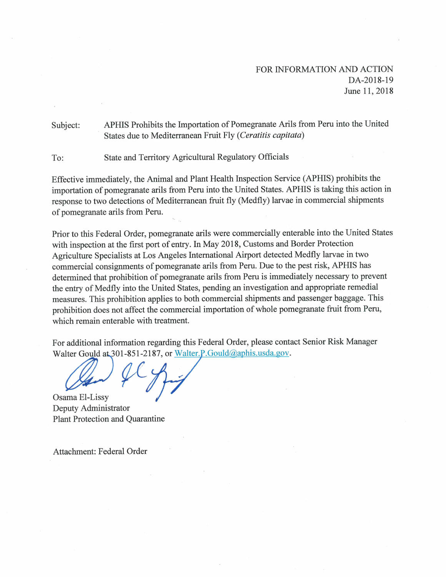## FOR INFORMATION AND ACTION DA-2018-19 June 11, 2018

APHIS Prohibits the Importation of Pomegranate Arils from Peru into the United Subject: States due to Mediterranean Fruit Fly (Ceratitis capitata)

State and Territory Agricultural Regulatory Officials To:

Effective immediately, the Animal and Plant Health Inspection Service (APHIS) prohibits the importation of pomegranate arils from Peru into the United States. APHIS is taking this action in response to two detections of Mediterranean fruit fly (Medfly) larvae in commercial shipments of pomegranate arils from Peru.

Prior to this Federal Order, pomegranate arils were commercially enterable into the United States with inspection at the first port of entry. In May 2018, Customs and Border Protection Agriculture Specialists at Los Angeles International Airport detected Medfly larvae in two commercial consignments of pomegranate arils from Peru. Due to the pest risk, APHIS has determined that prohibition of pomegranate arils from Peru is immediately necessary to prevent the entry of Medfly into the United States, pending an investigation and appropriate remedial measures. This prohibition applies to both commercial shipments and passenger baggage. This prohibition does not affect the commercial importation of whole pomegranate fruit from Peru, which remain enterable with treatment.

For additional information regarding this Federal Order, please contact Senior Risk Manager Walter Gould at 301-851-2187, or Walter.P.Gould@aphis.usda.gov.

Osama El-Lissy Deputy Administrator **Plant Protection and Quarantine** 

Attachment: Federal Order